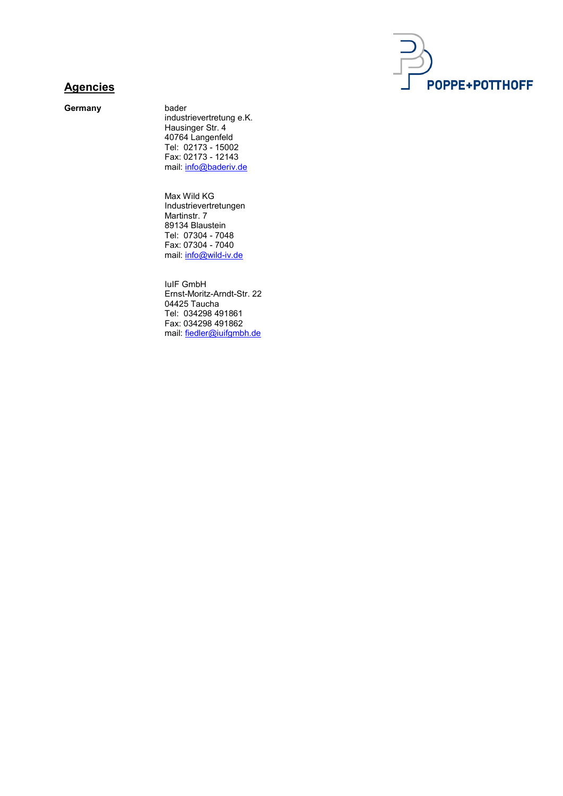

## **Agencies**

Germany bader

industrievertretung e.K. Hausinger Str. 4 40764 Langenfeld Tel: 02173 - 15002 Fax: 02173 - 12143 mail: info@baderiv.de

 Max Wild KG Industrievertretungen Martinstr. 7 89134 Blaustein Tel: 07304 - 7048 Fax: 07304 - 7040 mail: info@wild-iv.de

 IuIF GmbH Ernst-Moritz-Arndt-Str. 22 04425 Taucha Tel: 034298 491861 Fax: 034298 491862 mail: fiedler@iuifgmbh.de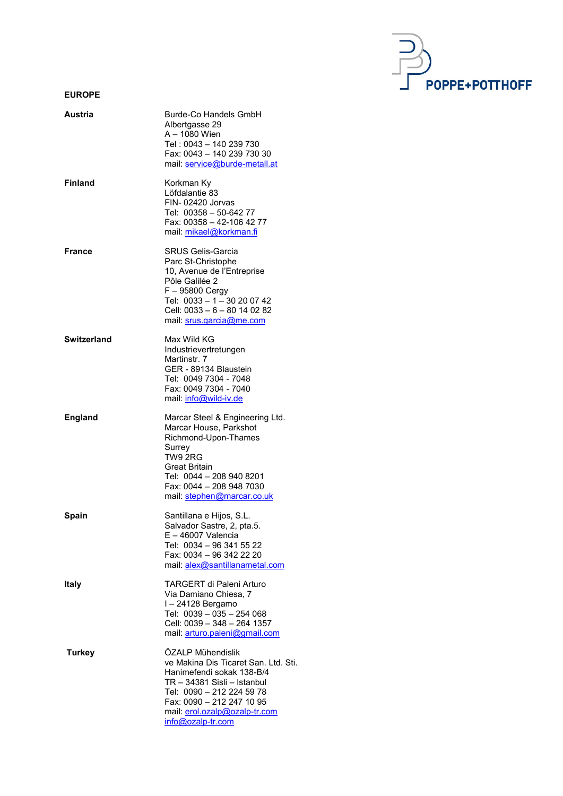

## EUROPE

| Austria        | Burde-Co Handels GmbH<br>Albertgasse 29<br>A – 1080 Wien<br>Tel: 0043 - 140 239 730<br>Fax: 0043 - 140 239 730 30<br>mail: service@burde-metall.at                                                                                    |
|----------------|---------------------------------------------------------------------------------------------------------------------------------------------------------------------------------------------------------------------------------------|
| <b>Finland</b> | Korkman Ky<br>Löfdalantie 83<br>FIN-02420 Jorvas<br>Tel: 00358 - 50-642 77<br>Fax: 00358 - 42-106 42 77<br>mail: mikael@korkman.fi                                                                                                    |
| France         | <b>SRUS Gelis-Garcia</b><br>Parc St-Christophe<br>10, Avenue de l'Entreprise<br>Pôle Galilée 2<br>$F - 95800$ Cergy<br>Tel: 0033 - 1 - 30 20 07 42<br>Cell: 0033 - 6 - 80 14 02 82<br>mail: srus.garcia@me.com                        |
| Switzerland    | Max Wild KG<br>Industrievertretungen<br>Martinstr. 7<br>GER - 89134 Blaustein<br>Tel: 0049 7304 - 7048<br>Fax: 0049 7304 - 7040<br>mail: info@wild-iv.de                                                                              |
| <b>England</b> | Marcar Steel & Engineering Ltd.<br>Marcar House, Parkshot<br>Richmond-Upon-Thames<br>Surrey<br>TW9 2RG<br><b>Great Britain</b><br>Tel: 0044 - 208 940 8201<br>Fax: 0044 - 208 948 7030<br>mail: stephen@marcar.co.uk                  |
| Spain          | Santillana e Hijos, S.L.<br>Salvador Sastre, 2, pta.5.<br>$E - 46007$ Valencia<br>Tel: 0034 - 96 341 55 22<br>Fax: 0034 - 96 342 22 20<br>mail: alex@santillanametal.com                                                              |
| Italy          | TARGERT di Paleni Arturo<br>Via Damiano Chiesa, 7<br>I-24128 Bergamo<br>Tel: 0039 - 035 - 254 068<br>Cell: 0039 - 348 - 264 1357<br>mail: arturo.paleni@gmail.com                                                                     |
| <b>Turkey</b>  | ÖZALP Mühendislik<br>ve Makina Dis Ticaret San. Ltd. Sti.<br>Hanimefendi sokak 138-B/4<br>TR - 34381 Sisli - Istanbul<br>Tel: 0090 - 212 224 59 78<br>Fax: 0090 - 212 247 10 95<br>mail: erol.ozalp@ozalp-tr.com<br>info@ozalp-tr.com |